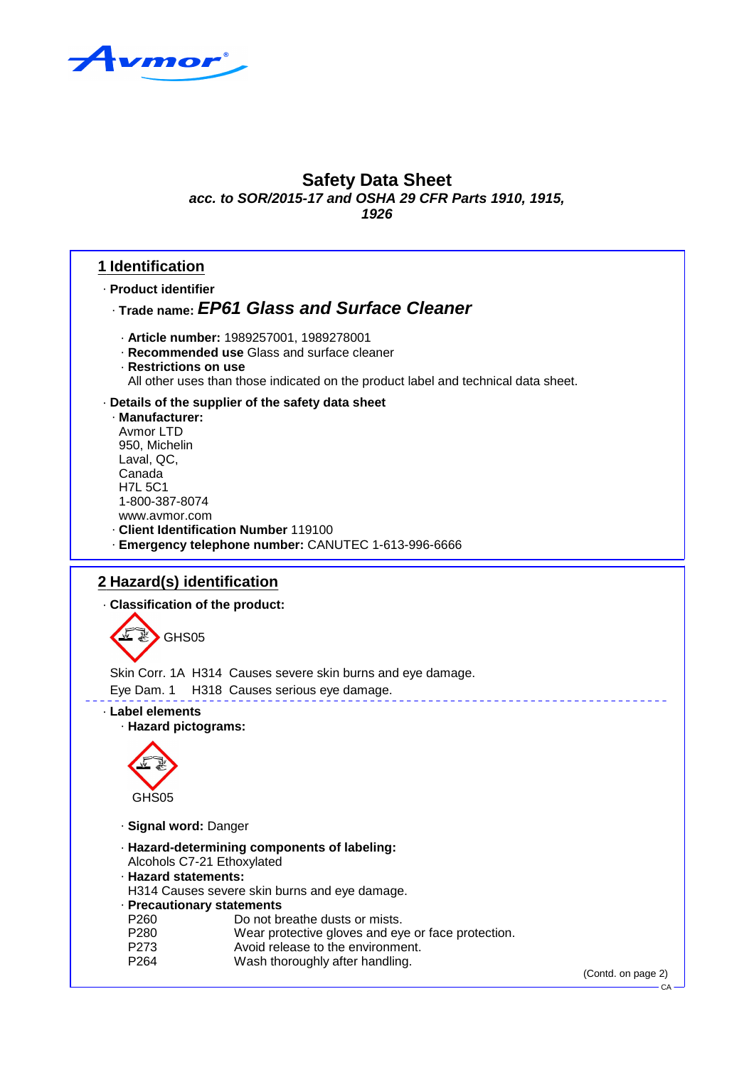

**1926**

### **1 Identification**

· **Product identifier**

### · **Trade name: EP61 Glass and Surface Cleaner**

- · **Article number:** 1989257001, 1989278001
- · **Recommended use** Glass and surface cleaner
- · **Restrictions on use**

All other uses than those indicated on the product label and technical data sheet.

#### · **Details of the supplier of the safety data sheet**

· **Manufacturer:** Avmor LTD 950, Michelin Laval, QC, Canada H7L 5C1 1-800-387-8074 www.avmor.com · **Client Identification Number** 119100 · **Emergency telephone number:** CANUTEC 1-613-996-6666

### **2 Hazard(s) identification**

· **Classification of the product:**

GHS05

Skin Corr. 1A H314 Causes severe skin burns and eye damage.

Eye Dam. 1 H318 Causes serious eye damage.

· **Label elements**

· **Hazard pictograms:**



· **Signal word:** Danger

- · **Hazard-determining components of labeling:**
- Alcohols C7-21 Ethoxylated
- · **Hazard statements:**

H314 Causes severe skin burns and eye damage.

- · **Precautionary statements**
- P260 Do not breathe dusts or mists.
- P280 Wear protective gloves and eye or face protection.
- P273 Avoid release to the environment. P264 Wash thoroughly after handling.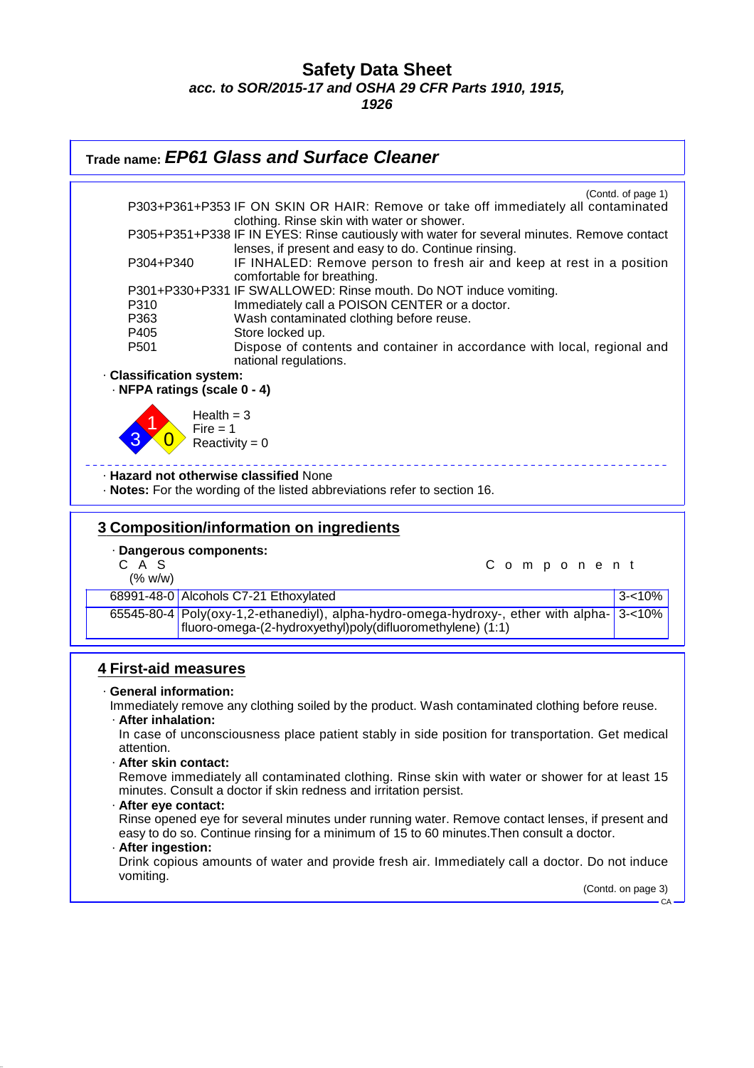**1926**



(Contd. on page 3)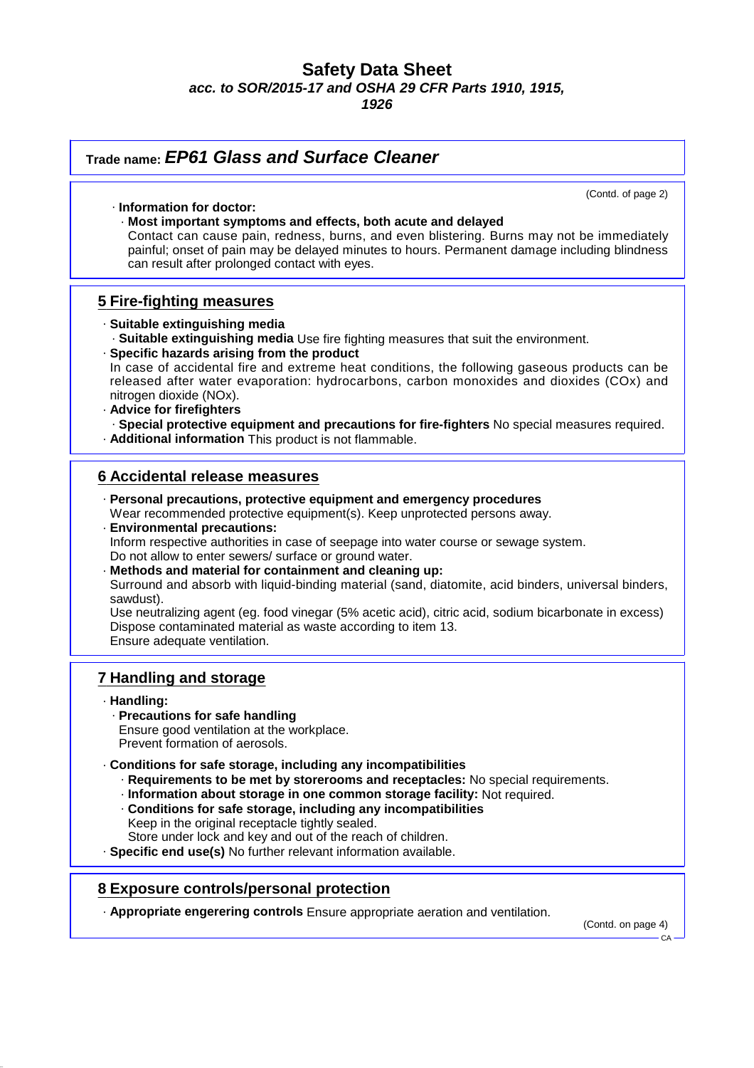**1926**

| Trade name: EP61 Glass and Surface Cleaner                                                                                                                                                                                                                                                                                                                                                                                                                                                                                                                                                                                                                                                                                                                          |  |
|---------------------------------------------------------------------------------------------------------------------------------------------------------------------------------------------------------------------------------------------------------------------------------------------------------------------------------------------------------------------------------------------------------------------------------------------------------------------------------------------------------------------------------------------------------------------------------------------------------------------------------------------------------------------------------------------------------------------------------------------------------------------|--|
| (Contd. of page 2)<br>· Information for doctor:<br>· Most important symptoms and effects, both acute and delayed<br>Contact can cause pain, redness, burns, and even blistering. Burns may not be immediately<br>painful; onset of pain may be delayed minutes to hours. Permanent damage including blindness<br>can result after prolonged contact with eyes.                                                                                                                                                                                                                                                                                                                                                                                                      |  |
| 5 Fire-fighting measures                                                                                                                                                                                                                                                                                                                                                                                                                                                                                                                                                                                                                                                                                                                                            |  |
| · Suitable extinguishing media<br>. Suitable extinguishing media Use fire fighting measures that suit the environment.<br>· Specific hazards arising from the product<br>In case of accidental fire and extreme heat conditions, the following gaseous products can be<br>released after water evaporation: hydrocarbons, carbon monoxides and dioxides (COx) and<br>nitrogen dioxide (NOx).<br>· Advice for firefighters<br>· Special protective equipment and precautions for fire-fighters No special measures required.<br>· Additional information This product is not flammable.                                                                                                                                                                              |  |
| <b>6 Accidental release measures</b><br>· Personal precautions, protective equipment and emergency procedures<br>Wear recommended protective equipment(s). Keep unprotected persons away.<br>· Environmental precautions:<br>Inform respective authorities in case of seepage into water course or sewage system.<br>Do not allow to enter sewers/ surface or ground water.<br>· Methods and material for containment and cleaning up:<br>Surround and absorb with liquid-binding material (sand, diatomite, acid binders, universal binders,<br>sawdust).<br>Use neutralizing agent (eg. food vinegar (5% acetic acid), citric acid, sodium bicarbonate in excess)<br>Dispose contaminated material as waste according to item 13.<br>Ensure adequate ventilation. |  |
| <b>7 Handling and storage</b>                                                                                                                                                                                                                                                                                                                                                                                                                                                                                                                                                                                                                                                                                                                                       |  |
| · Handling:<br>· Precautions for safe handling<br>Ensure good ventilation at the workplace.<br>Prevent formation of aerosols.<br>Conditions for safe storage, including any incompatibilities<br>· Requirements to be met by storerooms and receptacles: No special requirements.<br>· Information about storage in one common storage facility: Not required.<br>Conditions for safe storage, including any incompatibilities<br>Keep in the original receptacle tightly sealed.<br>Store under lock and key and out of the reach of children.<br>· Specific end use(s) No further relevant information available.                                                                                                                                                 |  |

### **8 Exposure controls/personal protection**

· **Appropriate engerering controls** Ensure appropriate aeration and ventilation.

(Contd. on page 4)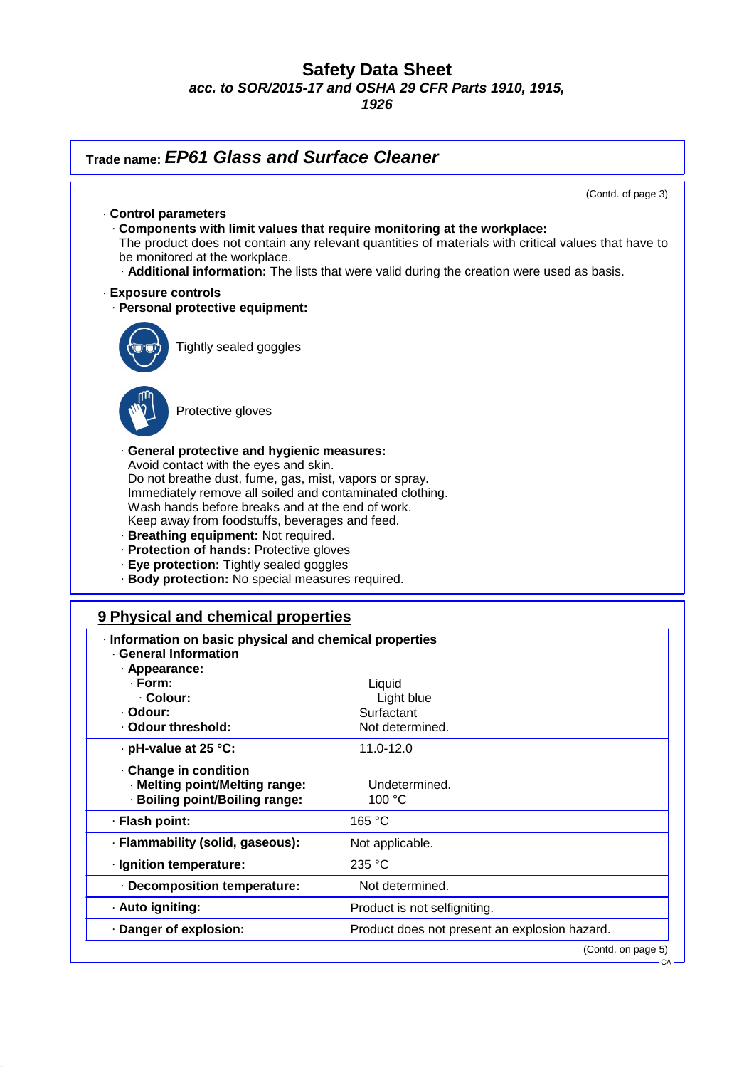**Trade name: EP61 Glass and Surface Cleaner**

(Contd. of page 3) · **Control parameters** · **Components with limit values that require monitoring at the workplace:** The product does not contain any relevant quantities of materials with critical values that have to be monitored at the workplace. · **Additional information:** The lists that were valid during the creation were used as basis. · **Exposure controls** · **Personal protective equipment:** Tightly sealed goggles Protective gloves · **General protective and hygienic measures:** Avoid contact with the eyes and skin. Do not breathe dust, fume, gas, mist, vapors or spray. Immediately remove all soiled and contaminated clothing. Wash hands before breaks and at the end of work. Keep away from foodstuffs, beverages and feed. · **Breathing equipment:** Not required. · **Protection of hands:** Protective gloves · **Eye protection:** Tightly sealed goggles · **Body protection:** No special measures required. **9 Physical and chemical properties** · **Information on basic physical and chemical properties** · **General Information** · **Appearance:** · **Form:** Liquid · **Colour:** Light blue · **Odour:** Surfactant · Odour threshold: Not determined. · **pH-value at 25 °C:** 11.0-12.0 · **Change in condition** · **Melting point/Melting range:** Undetermined. · **Boiling point/Boiling range:** 100 °C · **Flash point:** 165 °C · **Flammability (solid, gaseous):** Not applicable. · **Ignition temperature:** 235 °C · **Decomposition temperature:** Not determined. · **Auto igniting:** Product is not selfigniting. · **Danger of explosion:** Product does not present an explosion hazard. (Contd. on page 5)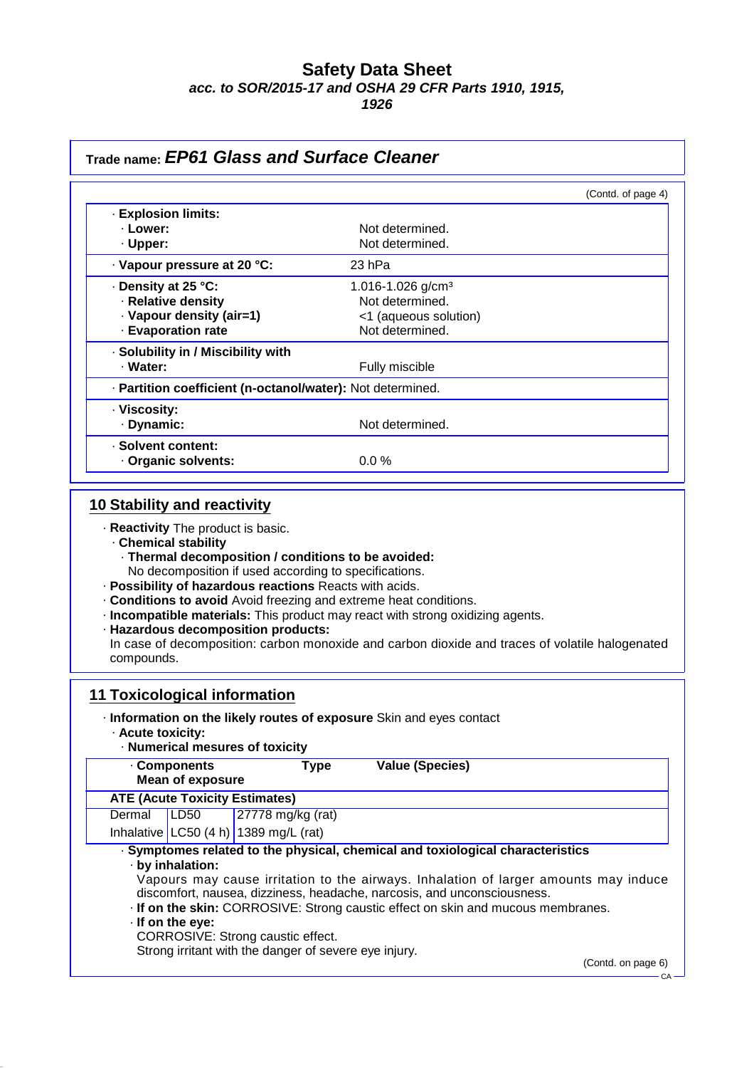**1926**

| Trade name: EP61 Glass and Surface Cleaner                                               |                                                                                                                                                                                                                                                         |
|------------------------------------------------------------------------------------------|---------------------------------------------------------------------------------------------------------------------------------------------------------------------------------------------------------------------------------------------------------|
|                                                                                          | (Contd. of page 4)                                                                                                                                                                                                                                      |
| · Explosion limits:                                                                      |                                                                                                                                                                                                                                                         |
| · Lower:                                                                                 | Not determined.                                                                                                                                                                                                                                         |
| · Upper:                                                                                 | Not determined.                                                                                                                                                                                                                                         |
| · Vapour pressure at 20 °C:                                                              | 23 hPa                                                                                                                                                                                                                                                  |
| · Density at 25 °C:                                                                      | 1.016-1.026 g/cm <sup>3</sup>                                                                                                                                                                                                                           |
| · Relative density                                                                       | Not determined.                                                                                                                                                                                                                                         |
| · Vapour density (air=1)                                                                 | <1 (aqueous solution)                                                                                                                                                                                                                                   |
| · Evaporation rate                                                                       | Not determined.                                                                                                                                                                                                                                         |
| · Solubility in / Miscibility with                                                       |                                                                                                                                                                                                                                                         |
| · Water:                                                                                 | Fully miscible                                                                                                                                                                                                                                          |
| · Partition coefficient (n-octanol/water): Not determined.                               |                                                                                                                                                                                                                                                         |
| · Viscosity:                                                                             |                                                                                                                                                                                                                                                         |
| · Dynamic:                                                                               | Not determined.                                                                                                                                                                                                                                         |
| · Solvent content:                                                                       |                                                                                                                                                                                                                                                         |
| Organic solvents:                                                                        | 0.0%                                                                                                                                                                                                                                                    |
| · Hazardous decomposition products:<br>compounds.<br><b>11 Toxicological information</b> | · Incompatible materials: This product may react with strong oxidizing agents.<br>In case of decomposition: carbon monoxide and carbon dioxide and traces of volatile halogenated<br>Information on the likely routes of exposure Skin and eyes contact |
| · Acute toxicity:<br>· Numerical mesures of toxicity                                     |                                                                                                                                                                                                                                                         |
| . Components<br><b>Mean of exposure</b>                                                  | <b>Value (Species)</b><br><b>Type</b>                                                                                                                                                                                                                   |
| <b>ATE (Acute Toxicity Estimates)</b>                                                    |                                                                                                                                                                                                                                                         |
| Dermal<br><b>LD50</b><br>27778 mg/kg (rat)                                               |                                                                                                                                                                                                                                                         |
| Inhalative LC50 $(4 h)$ 1389 mg/L (rat)                                                  |                                                                                                                                                                                                                                                         |
| · by inhalation:                                                                         | · Symptomes related to the physical, chemical and toxiological characteristics<br>Vapours may cause irritation to the airways. Inhalation of larger amounts may induce                                                                                  |
| $\cdot$ If on the eye:                                                                   | discomfort, nausea, dizziness, headache, narcosis, and unconsciousness.<br>. If on the skin: CORROSIVE: Strong caustic effect on skin and mucous membranes.                                                                                             |
| CORROSIVE: Strong caustic effect.                                                        |                                                                                                                                                                                                                                                         |
| Strong irritant with the danger of severe eye injury.                                    | (Contd. on page 6)                                                                                                                                                                                                                                      |
|                                                                                          |                                                                                                                                                                                                                                                         |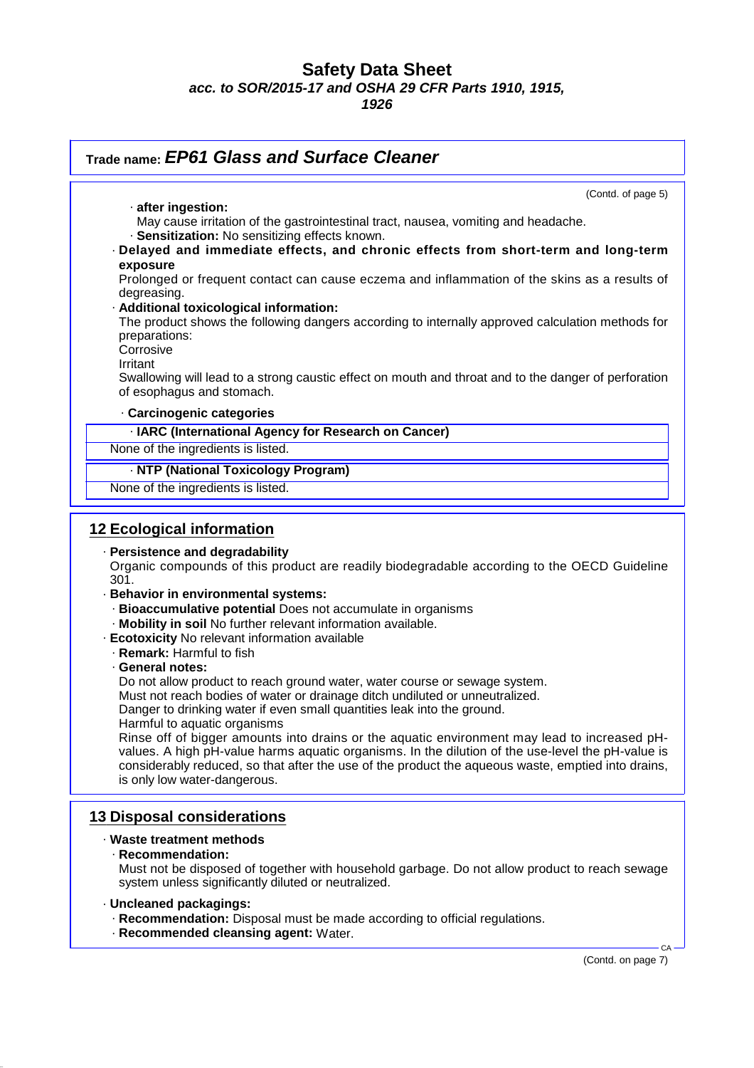**1926**

| Trade name: EP61 Glass and Surface Cleaner                                                                                                                                                                                                                                                                                                                                                                                                                                                                                                                                                                                                                                                                                                                                                                                                                                                                                                                                                                                                                                       |
|----------------------------------------------------------------------------------------------------------------------------------------------------------------------------------------------------------------------------------------------------------------------------------------------------------------------------------------------------------------------------------------------------------------------------------------------------------------------------------------------------------------------------------------------------------------------------------------------------------------------------------------------------------------------------------------------------------------------------------------------------------------------------------------------------------------------------------------------------------------------------------------------------------------------------------------------------------------------------------------------------------------------------------------------------------------------------------|
| (Contd. of page 5)                                                                                                                                                                                                                                                                                                                                                                                                                                                                                                                                                                                                                                                                                                                                                                                                                                                                                                                                                                                                                                                               |
| · after ingestion:<br>May cause irritation of the gastrointestinal tract, nausea, vomiting and headache.<br>· Sensitization: No sensitizing effects known.                                                                                                                                                                                                                                                                                                                                                                                                                                                                                                                                                                                                                                                                                                                                                                                                                                                                                                                       |
| · Delayed and immediate effects, and chronic effects from short-term and long-term                                                                                                                                                                                                                                                                                                                                                                                                                                                                                                                                                                                                                                                                                                                                                                                                                                                                                                                                                                                               |
| exposure<br>Prolonged or frequent contact can cause eczema and inflammation of the skins as a results of<br>degreasing.                                                                                                                                                                                                                                                                                                                                                                                                                                                                                                                                                                                                                                                                                                                                                                                                                                                                                                                                                          |
| · Additional toxicological information:<br>The product shows the following dangers according to internally approved calculation methods for<br>preparations:<br>Corrosive                                                                                                                                                                                                                                                                                                                                                                                                                                                                                                                                                                                                                                                                                                                                                                                                                                                                                                        |
| Irritant<br>Swallowing will lead to a strong caustic effect on mouth and throat and to the danger of perforation<br>of esophagus and stomach.                                                                                                                                                                                                                                                                                                                                                                                                                                                                                                                                                                                                                                                                                                                                                                                                                                                                                                                                    |
| · Carcinogenic categories                                                                                                                                                                                                                                                                                                                                                                                                                                                                                                                                                                                                                                                                                                                                                                                                                                                                                                                                                                                                                                                        |
| · IARC (International Agency for Research on Cancer)                                                                                                                                                                                                                                                                                                                                                                                                                                                                                                                                                                                                                                                                                                                                                                                                                                                                                                                                                                                                                             |
| None of the ingredients is listed.                                                                                                                                                                                                                                                                                                                                                                                                                                                                                                                                                                                                                                                                                                                                                                                                                                                                                                                                                                                                                                               |
| · NTP (National Toxicology Program)                                                                                                                                                                                                                                                                                                                                                                                                                                                                                                                                                                                                                                                                                                                                                                                                                                                                                                                                                                                                                                              |
| None of the ingredients is listed.                                                                                                                                                                                                                                                                                                                                                                                                                                                                                                                                                                                                                                                                                                                                                                                                                                                                                                                                                                                                                                               |
| <b>12 Ecological information</b><br>· Persistence and degradability<br>Organic compounds of this product are readily biodegradable according to the OECD Guideline<br>301.<br>· Behavior in environmental systems:<br>· Bioaccumulative potential Does not accumulate in organisms<br>· Mobility in soil No further relevant information available.<br><b>Ecotoxicity No relevant information available</b><br>· Remark: Harmful to fish<br>· General notes:<br>Do not allow product to reach ground water, water course or sewage system.<br>Must not reach bodies of water or drainage ditch undiluted or unneutralized.<br>Danger to drinking water if even small quantities leak into the ground.<br>Harmful to aquatic organisms<br>Rinse off of bigger amounts into drains or the aquatic environment may lead to increased pH-<br>values. A high pH-value harms aquatic organisms. In the dilution of the use-level the pH-value is<br>considerably reduced, so that after the use of the product the aqueous waste, emptied into drains,<br>is only low water-dangerous. |
| <b>13 Disposal considerations</b><br>· Waste treatment methods                                                                                                                                                                                                                                                                                                                                                                                                                                                                                                                                                                                                                                                                                                                                                                                                                                                                                                                                                                                                                   |
| · Recommendation:<br>Must not be disposed of together with household garbage. Do not allow product to reach sewage<br>system unless significantly diluted or neutralized.                                                                                                                                                                                                                                                                                                                                                                                                                                                                                                                                                                                                                                                                                                                                                                                                                                                                                                        |

- · **Uncleaned packagings:**
	- · **Recommendation:** Disposal must be made according to official regulations.
	- · **Recommended cleansing agent:** Water.

(Contd. on page 7)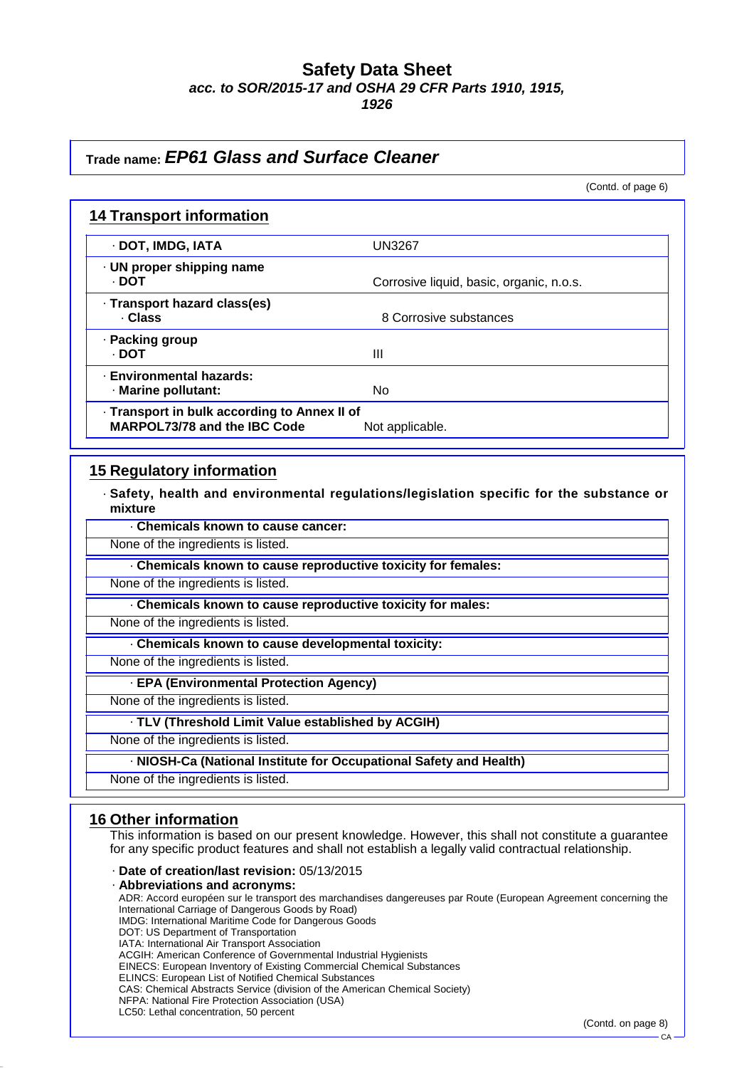**1926**

### **Trade name: EP61 Glass and Surface Cleaner**

(Contd. of page 6)

| <b>14 Transport information</b>                                              |                                          |
|------------------------------------------------------------------------------|------------------------------------------|
| · DOT, IMDG, IATA                                                            | <b>UN3267</b>                            |
| · UN proper shipping name<br>· DOT                                           | Corrosive liquid, basic, organic, n.o.s. |
| · Transport hazard class(es)<br>· Class                                      | 8 Corrosive substances                   |
| · Packing group<br>· DOT                                                     | Ш                                        |
| · Environmental hazards:<br>· Marine pollutant:                              | No.                                      |
| · Transport in bulk according to Annex II of<br>MARPOL73/78 and the IBC Code | Not applicable.                          |

### **15 Regulatory information**

· **Safety, health and environmental regulations/legislation specific for the substance or mixture**

· **Chemicals known to cause cancer:**

None of the ingredients is listed.

· **Chemicals known to cause reproductive toxicity for females:**

None of the ingredients is listed.

· **Chemicals known to cause reproductive toxicity for males:**

None of the ingredients is listed.

· **Chemicals known to cause developmental toxicity:**

None of the ingredients is listed.

· **EPA (Environmental Protection Agency)**

None of the ingredients is listed.

#### · **TLV (Threshold Limit Value established by ACGIH)**

None of the ingredients is listed.

· **NIOSH-Ca (National Institute for Occupational Safety and Health)**

None of the ingredients is listed.

#### **16 Other information**

This information is based on our present knowledge. However, this shall not constitute a guarantee for any specific product features and shall not establish a legally valid contractual relationship.

#### · **Date of creation/last revision:** 05/13/2015

· **Abbreviations and acronyms:**

ADR: Accord européen sur le transport des marchandises dangereuses par Route (European Agreement concerning the International Carriage of Dangerous Goods by Road) IMDG: International Maritime Code for Dangerous Goods DOT: US Department of Transportation IATA: International Air Transport Association ACGIH: American Conference of Governmental Industrial Hygienists EINECS: European Inventory of Existing Commercial Chemical Substances ELINCS: European List of Notified Chemical Substances CAS: Chemical Abstracts Service (division of the American Chemical Society)

NFPA: National Fire Protection Association (USA) LC50: Lethal concentration, 50 percent